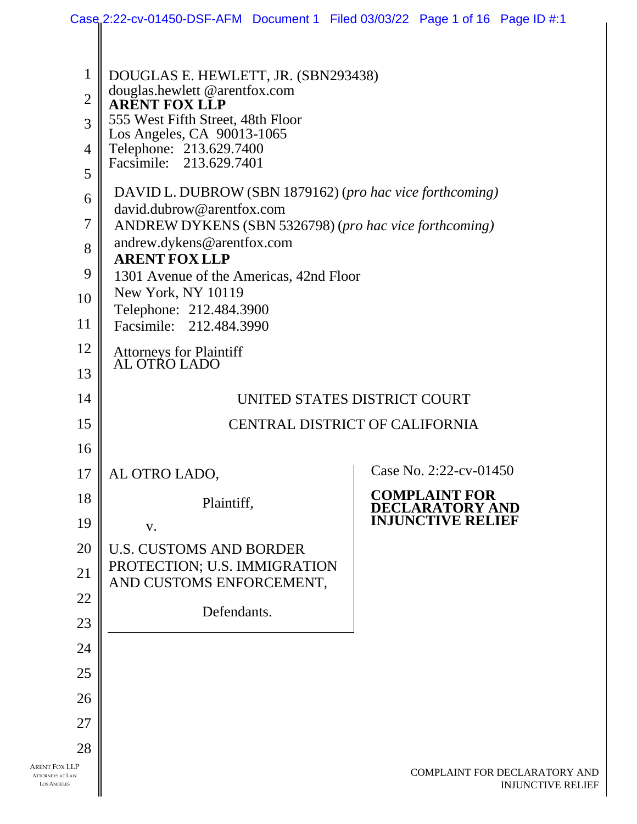|                                                                |                                                                                                                                                                                                                                                                                                                              | Case 2:22-cv-01450-DSF-AFM Document 1 Filed 03/03/22 Page 1 of 16 Page ID #:1 |
|----------------------------------------------------------------|------------------------------------------------------------------------------------------------------------------------------------------------------------------------------------------------------------------------------------------------------------------------------------------------------------------------------|-------------------------------------------------------------------------------|
| $\mathbf{1}$<br>$\overline{2}$<br>3<br>$\overline{4}$<br>5     | DOUGLAS E. HEWLETT, JR. (SBN293438)<br>douglas.hewlett @arentfox.com<br><b>ARENT FOX LLP</b><br>555 West Fifth Street, 48th Floor<br>Los Angeles, CA 90013-1065<br>Telephone: 213.629.7400<br>Facsimile: 213.629.7401                                                                                                        |                                                                               |
| 6<br>$\overline{7}$<br>8<br>9<br>10<br>11                      | DAVID L. DUBROW (SBN 1879162) (pro hac vice forthcoming)<br>david.dubrow@arentfox.com<br>ANDREW DYKENS (SBN 5326798) (pro hac vice forthcoming)<br>andrew.dykens@arentfox.com<br><b>ARENT FOX LLP</b><br>1301 Avenue of the Americas, 42nd Floor<br>New York, NY 10119<br>Telephone: 212.484.3900<br>Facsimile: 212.484.3990 |                                                                               |
| 12<br>13                                                       | Attorneys for Plaintiff<br>AL OTRO LADO                                                                                                                                                                                                                                                                                      |                                                                               |
| 14                                                             | UNITED STATES DISTRICT COURT                                                                                                                                                                                                                                                                                                 |                                                                               |
| 15                                                             | <b>CENTRAL DISTRICT OF CALIFORNIA</b>                                                                                                                                                                                                                                                                                        |                                                                               |
| 16                                                             |                                                                                                                                                                                                                                                                                                                              |                                                                               |
| 17                                                             | AL OTRO LADO,                                                                                                                                                                                                                                                                                                                | Case No. 2:22-cv-01450                                                        |
| 18<br>19                                                       | Plaintiff,<br>V.                                                                                                                                                                                                                                                                                                             | <b>COMPLAINT FOR</b><br>DECLARATORY AND<br><b>INJUNCTIVE RELIEF</b>           |
| 20                                                             | <b>U.S. CUSTOMS AND BORDER</b>                                                                                                                                                                                                                                                                                               |                                                                               |
| 21                                                             | PROTECTION; U.S. IMMIGRATION                                                                                                                                                                                                                                                                                                 |                                                                               |
| 22                                                             | AND CUSTOMS ENFORCEMENT,                                                                                                                                                                                                                                                                                                     |                                                                               |
| 23                                                             | Defendants.                                                                                                                                                                                                                                                                                                                  |                                                                               |
| 24                                                             |                                                                                                                                                                                                                                                                                                                              |                                                                               |
| 25                                                             |                                                                                                                                                                                                                                                                                                                              |                                                                               |
| 26                                                             |                                                                                                                                                                                                                                                                                                                              |                                                                               |
| 27                                                             |                                                                                                                                                                                                                                                                                                                              |                                                                               |
| 28                                                             |                                                                                                                                                                                                                                                                                                                              |                                                                               |
| Arent Fox LLP<br><b>ATTORNEYS AT LAW</b><br><b>LOS ANGELES</b> |                                                                                                                                                                                                                                                                                                                              | COMPLAINT FOR DECLARATORY AND<br><b>INJUNCTIVE RELIEF</b>                     |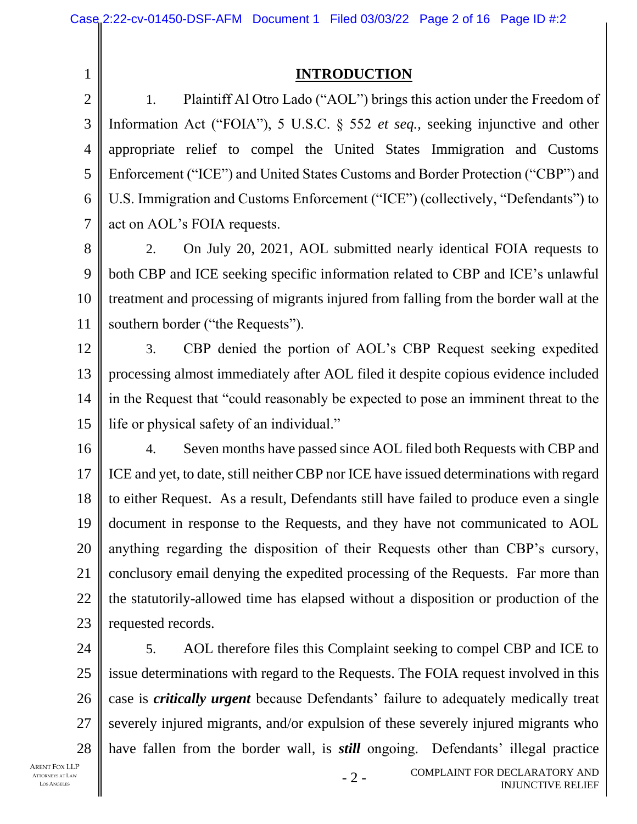1 2

## **INTRODUCTION**

3 4 5 6 7 1. Plaintiff Al Otro Lado ("AOL") brings this action under the Freedom of Information Act ("FOIA"), 5 U.S.C. § 552 *et seq.,* seeking injunctive and other appropriate relief to compel the United States Immigration and Customs Enforcement ("ICE") and United States Customs and Border Protection ("CBP") and U.S. Immigration and Customs Enforcement ("ICE") (collectively, "Defendants") to act on AOL's FOIA requests.

8 9 10 11 2. On July 20, 2021, AOL submitted nearly identical FOIA requests to both CBP and ICE seeking specific information related to CBP and ICE's unlawful treatment and processing of migrants injured from falling from the border wall at the southern border ("the Requests").

12 13 14 15 3. CBP denied the portion of AOL's CBP Request seeking expedited processing almost immediately after AOL filed it despite copious evidence included in the Request that "could reasonably be expected to pose an imminent threat to the life or physical safety of an individual."

16 17 18 19 20 21 22 23 4. Seven months have passed since AOL filed both Requests with CBP and ICE and yet, to date, still neither CBP nor ICE have issued determinations with regard to either Request. As a result, Defendants still have failed to produce even a single document in response to the Requests, and they have not communicated to AOL anything regarding the disposition of their Requests other than CBP's cursory, conclusory email denying the expedited processing of the Requests. Far more than the statutorily-allowed time has elapsed without a disposition or production of the requested records.

24 25 26 27 28 5. AOL therefore files this Complaint seeking to compel CBP and ICE to issue determinations with regard to the Requests. The FOIA request involved in this case is *critically urgent* because Defendants' failure to adequately medically treat severely injured migrants, and/or expulsion of these severely injured migrants who have fallen from the border wall, is *still* ongoing. Defendants' illegal practice

- 2 -

ARENT FOX LLP ATTORNEYS AT LAW LOS ANGELES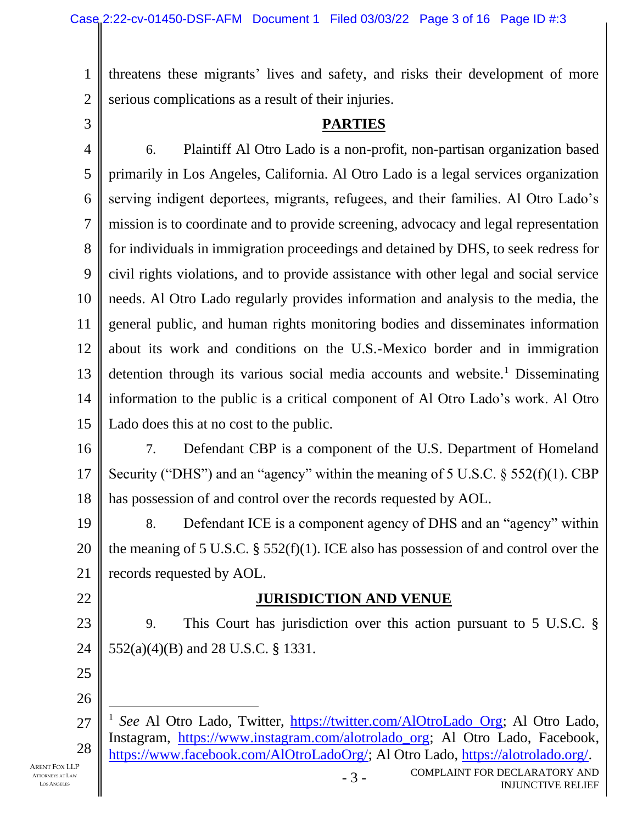1 2 threatens these migrants' lives and safety, and risks their development of more serious complications as a result of their injuries.

3

### **PARTIES**

4 5 6 7 8 9 10 11 12 13 14 15 6. Plaintiff Al Otro Lado is a non-profit, non-partisan organization based primarily in Los Angeles, California. Al Otro Lado is a legal services organization serving indigent deportees, migrants, refugees, and their families. Al Otro Lado's mission is to coordinate and to provide screening, advocacy and legal representation for individuals in immigration proceedings and detained by DHS, to seek redress for civil rights violations, and to provide assistance with other legal and social service needs. Al Otro Lado regularly provides information and analysis to the media, the general public, and human rights monitoring bodies and disseminates information about its work and conditions on the U.S.-Mexico border and in immigration detention through its various social media accounts and website.<sup>1</sup> Disseminating information to the public is a critical component of Al Otro Lado's work. Al Otro Lado does this at no cost to the public.

16 17 18 7. Defendant CBP is a component of the U.S. Department of Homeland Security ("DHS") and an "agency" within the meaning of 5 U.S.C.  $\S$  552(f)(1). CBP has possession of and control over the records requested by AOL.

19 20 21 8. Defendant ICE is a component agency of DHS and an "agency" within the meaning of 5 U.S.C. § 552(f)(1). ICE also has possession of and control over the records requested by AOL.

## 22

## **JURISDICTION AND VENUE**

23 24 9. This Court has jurisdiction over this action pursuant to 5 U.S.C. § 552(a)(4)(B) and 28 U.S.C. § 1331.

- 25
- 26

- 3 -

<sup>27</sup> 28 <sup>1</sup> See Al Otro Lado, Twitter, [https://twitter.com/AlOtroLado\\_Org;](https://twitter.com/AlOtroLado_Org) Al Otro Lado, Instagram, [https://www.instagram.com/alotrolado\\_org;](https://www.instagram.com/alotrolado_org) Al Otro Lado, Facebook, [https://www.facebook.com/AlOtroLadoOrg/;](https://www.facebook.com/AlOtroLadoOrg/) Al Otro Lado, [https://alotrolado.org/.](https://alotrolado.org/)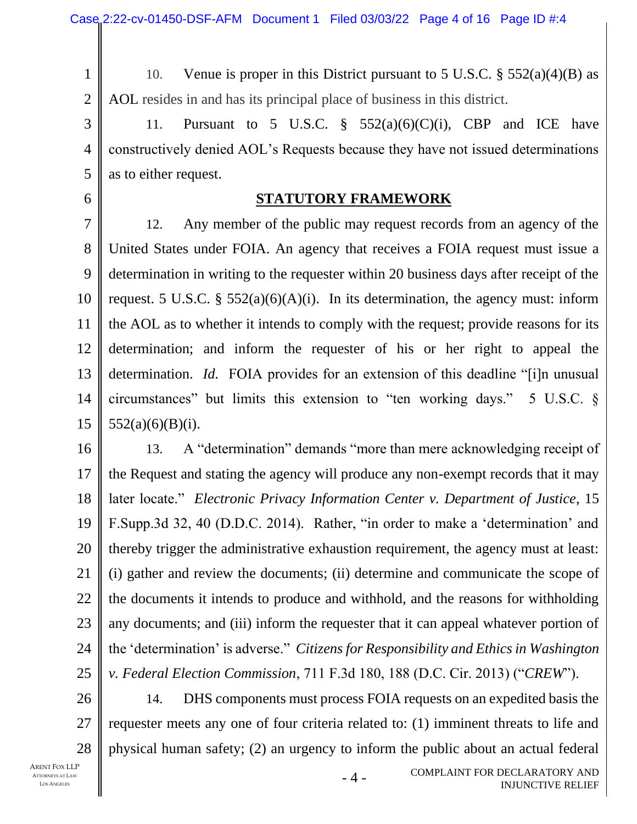1 2 10. Venue is proper in this District pursuant to 5 U.S.C.  $\S$  552(a)(4)(B) as AOL resides in and has its principal place of business in this district.

3 4 5 11. Pursuant to 5 U.S.C.  $\frac{8}{5}$  552(a)(6)(C)(i), CBP and ICE have constructively denied AOL's Requests because they have not issued determinations as to either request.

#### 6

### **STATUTORY FRAMEWORK**

7 8 9 10 11 12 13 14 15 12. Any member of the public may request records from an agency of the United States under FOIA. An agency that receives a FOIA request must issue a determination in writing to the requester within 20 business days after receipt of the request. 5 U.S.C. §  $552(a)(6)(A)(i)$ . In its determination, the agency must: inform the AOL as to whether it intends to comply with the request; provide reasons for its determination; and inform the requester of his or her right to appeal the determination. *Id.* FOIA provides for an extension of this deadline "[i]n unusual circumstances" but limits this extension to "ten working days." 5 U.S.C. §  $552(a)(6)(B)(i)$ .

16 17 18 19 20 21 22 23 24 25 13. A "determination" demands "more than mere acknowledging receipt of the Request and stating the agency will produce any non-exempt records that it may later locate." *Electronic Privacy Information Center v. Department of Justice*, 15 F.Supp.3d 32, 40 (D.D.C. 2014). Rather, "in order to make a 'determination' and thereby trigger the administrative exhaustion requirement, the agency must at least: (i) gather and review the documents; (ii) determine and communicate the scope of the documents it intends to produce and withhold, and the reasons for withholding any documents; and (iii) inform the requester that it can appeal whatever portion of the 'determination' is adverse." *Citizens for Responsibility and Ethics in Washington v. Federal Election Commission*, 711 F.3d 180, 188 (D.C. Cir. 2013) ("*CREW*").

26 27 28 14. DHS components must process FOIA requests on an expedited basis the requester meets any one of four criteria related to: (1) imminent threats to life and physical human safety; (2) an urgency to inform the public about an actual federal

- 4 -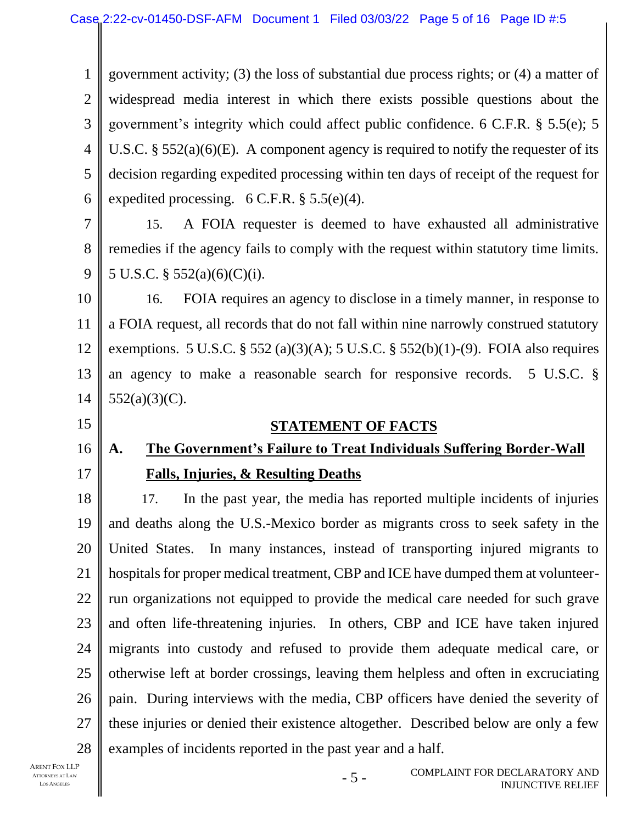1 2 3 4 5 6 government activity; (3) the loss of substantial due process rights; or (4) a matter of widespread media interest in which there exists possible questions about the government's integrity which could affect public confidence. 6 C.F.R. § 5.5(e); 5 U.S.C. § 552(a)(6)(E). A component agency is required to notify the requester of its decision regarding expedited processing within ten days of receipt of the request for expedited processing.  $6 \text{ C.F.R.}$  §  $5.5(e)(4)$ .

7 8 9 15. A FOIA requester is deemed to have exhausted all administrative remedies if the agency fails to comply with the request within statutory time limits. 5 U.S.C. § 552(a)(6)(C)(i).

10 11 12 13 14 16. FOIA requires an agency to disclose in a timely manner, in response to a FOIA request, all records that do not fall within nine narrowly construed statutory exemptions. 5 U.S.C. § 552 (a)(3)(A); 5 U.S.C. § 552(b)(1)-(9). FOIA also requires an agency to make a reasonable search for responsive records. 5 U.S.C. §  $552(a)(3)(C)$ .

15

16

17

#### **STATEMENT OF FACTS**

# **A. The Government's Failure to Treat Individuals Suffering Border-Wall Falls, Injuries, & Resulting Deaths**

18 19 20 21 22 23 24 25 26 27 28 17. In the past year, the media has reported multiple incidents of injuries and deaths along the U.S.-Mexico border as migrants cross to seek safety in the United States. In many instances, instead of transporting injured migrants to hospitals for proper medical treatment, CBP and ICE have dumped them at volunteerrun organizations not equipped to provide the medical care needed for such grave and often life-threatening injuries. In others, CBP and ICE have taken injured migrants into custody and refused to provide them adequate medical care, or otherwise left at border crossings, leaving them helpless and often in excruciating pain. During interviews with the media, CBP officers have denied the severity of these injuries or denied their existence altogether. Described below are only a few examples of incidents reported in the past year and a half.

- 5 -

ARENT FOX LLP ATTORNEYS AT LAW LOS ANGELES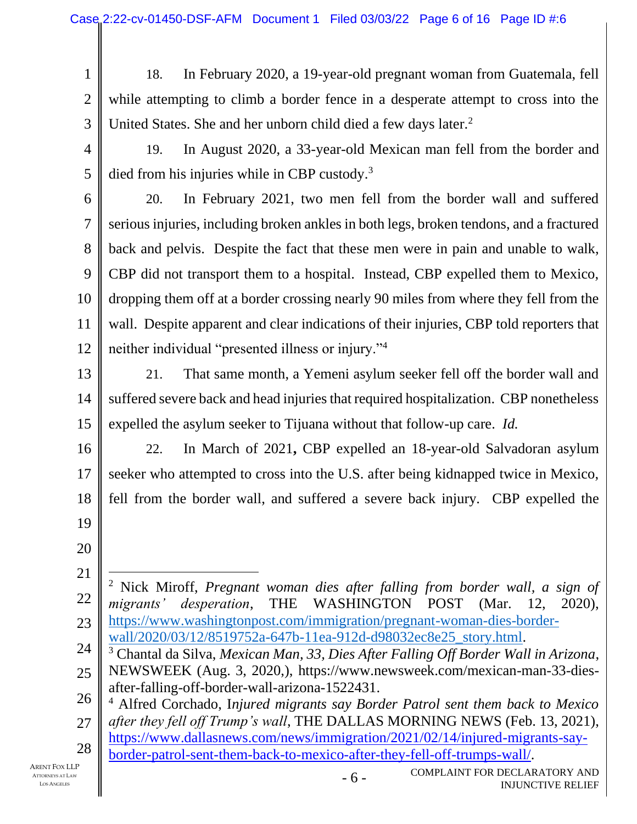1 2 3 18. In February 2020, a 19-year-old pregnant woman from Guatemala, fell while attempting to climb a border fence in a desperate attempt to cross into the United States. She and her unborn child died a few days later.<sup>2</sup>

4

19. In August 2020, a 33-year-old Mexican man fell from the border and died from his injuries while in CBP custody.<sup>3</sup>

6

7

8

9

11

5

10 12 20. In February 2021, two men fell from the border wall and suffered serious injuries, including broken ankles in both legs, broken tendons, and a fractured back and pelvis. Despite the fact that these men were in pain and unable to walk, CBP did not transport them to a hospital. Instead, CBP expelled them to Mexico, dropping them off at a border crossing nearly 90 miles from where they fell from the wall. Despite apparent and clear indications of their injuries, CBP told reporters that neither individual "presented illness or injury."<sup>4</sup>

13 14 15 21. That same month, a Yemeni asylum seeker fell off the border wall and suffered severe back and head injuries that required hospitalization. CBP nonetheless expelled the asylum seeker to Tijuana without that follow-up care. *Id.*

16 17 18 19 22. In March of 2021**,** CBP expelled an 18-year-old Salvadoran asylum seeker who attempted to cross into the U.S. after being kidnapped twice in Mexico, fell from the border wall, and suffered a severe back injury. CBP expelled the

- 20
- 21

22 23 <sup>2</sup> Nick Miroff, *Pregnant woman dies after falling from border wall, a sign of migrants' desperation*, THE WASHINGTON POST (Mar. 12, 2020), [https://www.washingtonpost.com/immigration/pregnant-woman-dies-border](https://www.washingtonpost.com/immigration/pregnant-woman-dies-border-wall/2020/03/12/8519752a-647b-11ea-912d-d98032ec8e25_story.html)[wall/2020/03/12/8519752a-647b-11ea-912d-d98032ec8e25\\_story.html.](https://www.washingtonpost.com/immigration/pregnant-woman-dies-border-wall/2020/03/12/8519752a-647b-11ea-912d-d98032ec8e25_story.html)

24 25 <sup>3</sup> Chantal da Silva, *Mexican Man, 33, Dies After Falling Off Border Wall in Arizona*, NEWSWEEK (Aug. 3, 2020,), [https://www.newsweek.com/mexican-man-33-dies-](https://www.newsweek.com/mexican-man-33-dies-after-falling-off-border-wall-arizona-1522431)

[after-falling-off-border-wall-arizona-1522431.](https://www.newsweek.com/mexican-man-33-dies-after-falling-off-border-wall-arizona-1522431)

26 27 <sup>4</sup> Alfred Corchado, I*njured migrants say Border Patrol sent them back to Mexico after they fell off Trump's wall*, THE DALLAS MORNING NEWS (Feb. 13, 2021),

28 [https://www.dallasnews.com/news/immigration/2021/02/14/injured-migrants-say](https://www.dallasnews.com/news/immigration/2021/02/14/injured-migrants-say-border-patrol-sent-them-back-to-mexico-after-they-fell-off-trumps-wall/)[border-patrol-sent-them-back-to-mexico-after-they-fell-off-trumps-wall/.](https://www.dallasnews.com/news/immigration/2021/02/14/injured-migrants-say-border-patrol-sent-them-back-to-mexico-after-they-fell-off-trumps-wall/)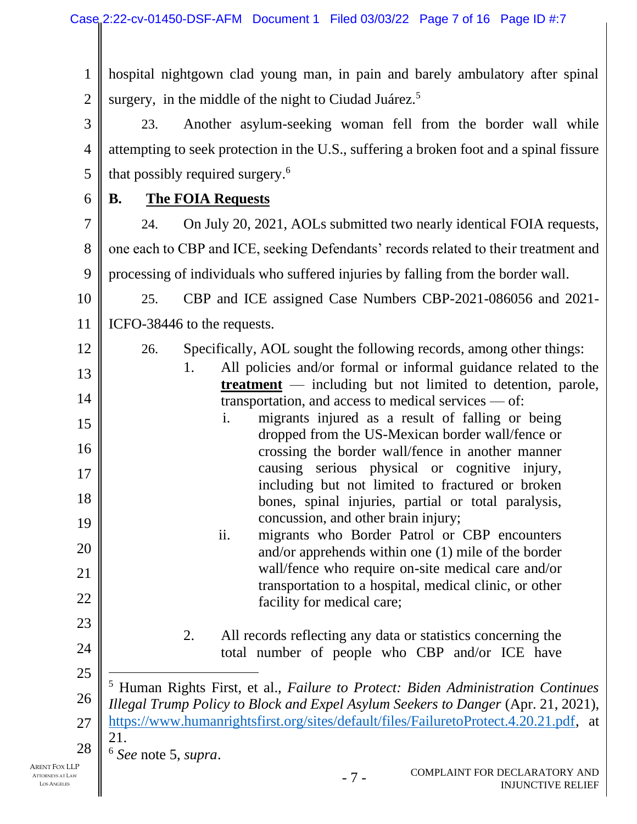1 2 hospital nightgown clad young man, in pain and barely ambulatory after spinal surgery, in the middle of the night to Ciudad Juárez.<sup>5</sup>

3 4 5 23. Another asylum-seeking woman fell from the border wall while attempting to seek protection in the U.S., suffering a broken foot and a spinal fissure that possibly required surgery.<sup>6</sup>

6

## **B. The FOIA Requests**

7 8 9 24. On July 20, 2021, AOLs submitted two nearly identical FOIA requests, one each to CBP and ICE, seeking Defendants' records related to their treatment and processing of individuals who suffered injuries by falling from the border wall.

10 11 25. CBP and ICE assigned Case Numbers CBP-2021-086056 and 2021- ICFO-38446 to the requests.

12

13

14

15

16

17

18

19

20

21

22

23

24

- 26. Specifically, AOL sought the following records, among other things:
	- 1. All policies and/or formal or informal guidance related to the **treatment** — including but not limited to detention, parole, transportation, and access to medical services — of:
- i. migrants injured as a result of falling or being dropped from the US-Mexican border wall/fence or crossing the border wall/fence in another manner causing serious physical or cognitive injury, including but not limited to fractured or broken bones, spinal injuries, partial or total paralysis, concussion, and other brain injury;
	- ii. migrants who Border Patrol or CBP encounters and/or apprehends within one (1) mile of the border wall/fence who require on-site medical care and/or transportation to a hospital, medical clinic, or other facility for medical care;
		- 2. All records reflecting any data or statistics concerning the total number of people who CBP and/or ICE have
- 25

26 27 28 <sup>5</sup> Human Rights First, et al., *Failure to Protect: Biden Administration Continues Illegal Trump Policy to Block and Expel Asylum Seekers to Danger* (Apr. 21, 2021), [https://www.humanrightsfirst.org/sites/default/files/FailuretoProtect.4.20.21.pdf,](https://www.humanrightsfirst.org/sites/default/files/FailuretoProtect.4.20.21.pdf) at 21.

<sup>6</sup> *See* note 5, *supra*.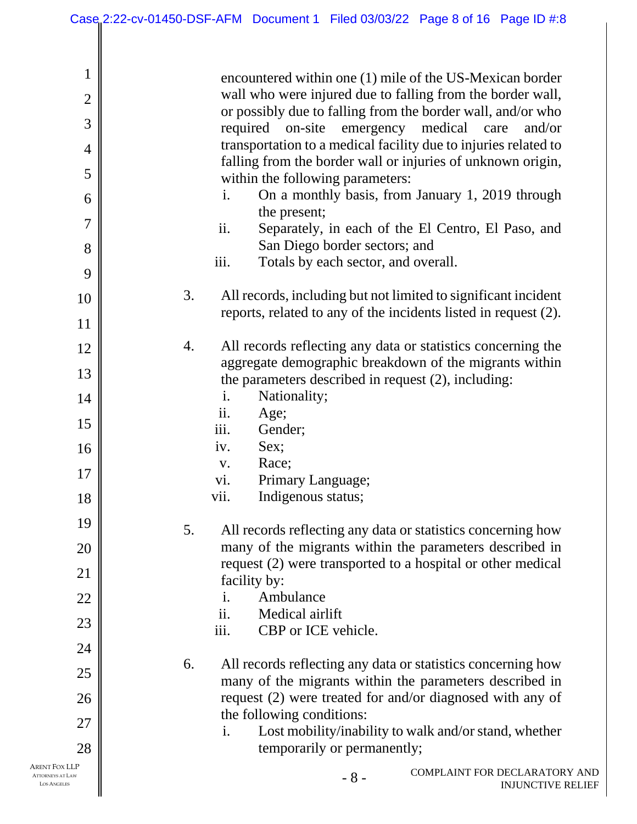| $\mathbf{1}$<br>$\overline{2}$<br>3<br>$\overline{4}$<br>5<br>6<br>$\overline{7}$<br>8<br>9 | encountered within one (1) mile of the US-Mexican border<br>wall who were injured due to falling from the border wall,<br>or possibly due to falling from the border wall, and/or who<br>required on-site emergency medical care<br>and/or<br>transportation to a medical facility due to injuries related to<br>falling from the border wall or injuries of unknown origin,<br>within the following parameters:<br>On a monthly basis, from January 1, 2019 through<br>$\mathbf{i}$ .<br>the present;<br>ii.<br>Separately, in each of the El Centro, El Paso, and<br>San Diego border sectors; and<br>iii.<br>Totals by each sector, and overall. |
|---------------------------------------------------------------------------------------------|-----------------------------------------------------------------------------------------------------------------------------------------------------------------------------------------------------------------------------------------------------------------------------------------------------------------------------------------------------------------------------------------------------------------------------------------------------------------------------------------------------------------------------------------------------------------------------------------------------------------------------------------------------|
| 10<br>11                                                                                    | 3.<br>All records, including but not limited to significant incident<br>reports, related to any of the incidents listed in request (2).                                                                                                                                                                                                                                                                                                                                                                                                                                                                                                             |
| 12                                                                                          | All records reflecting any data or statistics concerning the<br>4.<br>aggregate demographic breakdown of the migrants within                                                                                                                                                                                                                                                                                                                                                                                                                                                                                                                        |
| 13                                                                                          | the parameters described in request (2), including:                                                                                                                                                                                                                                                                                                                                                                                                                                                                                                                                                                                                 |
| 14                                                                                          | Nationality;<br>$\mathbf{i}$ .<br>Age;<br>ii.                                                                                                                                                                                                                                                                                                                                                                                                                                                                                                                                                                                                       |
| 15                                                                                          | iii.<br>Gender;                                                                                                                                                                                                                                                                                                                                                                                                                                                                                                                                                                                                                                     |
| 16                                                                                          | Sex;<br>iv.<br>Race;<br>V.                                                                                                                                                                                                                                                                                                                                                                                                                                                                                                                                                                                                                          |
| 17                                                                                          | Primary Language;<br>vi.                                                                                                                                                                                                                                                                                                                                                                                                                                                                                                                                                                                                                            |
| 18                                                                                          | Indigenous status;<br>vii.                                                                                                                                                                                                                                                                                                                                                                                                                                                                                                                                                                                                                          |
| 19                                                                                          | All records reflecting any data or statistics concerning how<br>5.                                                                                                                                                                                                                                                                                                                                                                                                                                                                                                                                                                                  |
| 20                                                                                          | many of the migrants within the parameters described in                                                                                                                                                                                                                                                                                                                                                                                                                                                                                                                                                                                             |
| 21                                                                                          | request (2) were transported to a hospital or other medical<br>facility by:                                                                                                                                                                                                                                                                                                                                                                                                                                                                                                                                                                         |
| 22                                                                                          | Ambulance<br>$\mathbf{i}$ .                                                                                                                                                                                                                                                                                                                                                                                                                                                                                                                                                                                                                         |
| 23                                                                                          | ii.<br>Medical airlift<br>iii.<br>CBP or ICE vehicle.                                                                                                                                                                                                                                                                                                                                                                                                                                                                                                                                                                                               |
| 24                                                                                          |                                                                                                                                                                                                                                                                                                                                                                                                                                                                                                                                                                                                                                                     |
| 25                                                                                          | 6.<br>All records reflecting any data or statistics concerning how                                                                                                                                                                                                                                                                                                                                                                                                                                                                                                                                                                                  |
| 26                                                                                          | many of the migrants within the parameters described in<br>request (2) were treated for and/or diagnosed with any of                                                                                                                                                                                                                                                                                                                                                                                                                                                                                                                                |
| 27                                                                                          | the following conditions:                                                                                                                                                                                                                                                                                                                                                                                                                                                                                                                                                                                                                           |
| 28                                                                                          | Lost mobility/inability to walk and/or stand, whether<br>i.<br>temporarily or permanently;                                                                                                                                                                                                                                                                                                                                                                                                                                                                                                                                                          |
| Arent Fox LLP<br><b>ATTORNEYS AT LAW</b><br><b>LOS ANGELES</b>                              | COMPLAINT FOR DECLARATORY AND<br>$-8-$<br><b>INJUNCTIVE RELIEF</b>                                                                                                                                                                                                                                                                                                                                                                                                                                                                                                                                                                                  |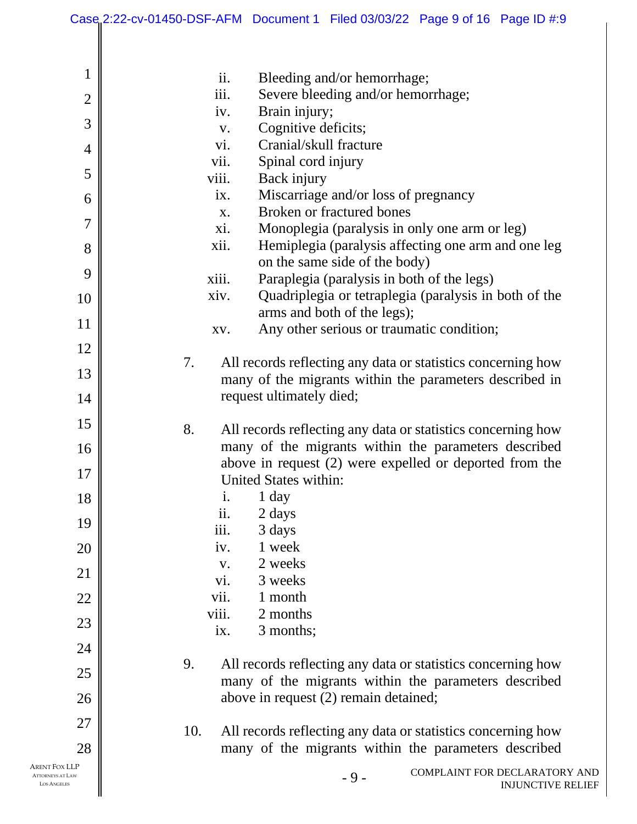|                                                                | Case 2:22-cv-01450-DSF-AFM Document 1 Filed 03/03/22 Page 9 of 16 Page ID #:9 |
|----------------------------------------------------------------|-------------------------------------------------------------------------------|
|                                                                |                                                                               |
| 1                                                              | ii.<br>Bleeding and/or hemorrhage;                                            |
| $\overline{2}$                                                 | iii.<br>Severe bleeding and/or hemorrhage;                                    |
|                                                                | Brain injury;<br>iv.                                                          |
| 3                                                              | Cognitive deficits;<br>V.                                                     |
| $\overline{4}$                                                 | Cranial/skull fracture<br>vi.                                                 |
| 5                                                              | vii.<br>Spinal cord injury                                                    |
|                                                                | viii.<br>Back injury<br>Miscarriage and/or loss of pregnancy<br>ix.           |
| 6                                                              | Broken or fractured bones<br>X.                                               |
| 7                                                              | Monoplegia (paralysis in only one arm or leg)<br>xi.                          |
| 8                                                              | Hemiplegia (paralysis affecting one arm and one leg<br>xii.                   |
|                                                                | on the same side of the body)                                                 |
| 9                                                              | Paraplegia (paralysis in both of the legs)<br>xiii.                           |
| 10                                                             | Quadriplegia or tetraplegia (paralysis in both of the<br>xiv.                 |
|                                                                | arms and both of the legs);                                                   |
| 11                                                             | Any other serious or traumatic condition;<br>XV.                              |
| 12                                                             |                                                                               |
| 13                                                             | All records reflecting any data or statistics concerning how<br>7.            |
|                                                                | many of the migrants within the parameters described in                       |
| 14                                                             | request ultimately died;                                                      |
| 15                                                             | 8.<br>All records reflecting any data or statistics concerning how            |
| 16                                                             | many of the migrants within the parameters described                          |
|                                                                | above in request $(2)$ were expelled or deported from the                     |
| 17                                                             | United States within:                                                         |
| 18                                                             | 1 day<br>i.                                                                   |
| 19                                                             | ii.<br>2 days                                                                 |
|                                                                | iii.<br>3 days                                                                |
| 20                                                             | 1 week<br>iv.                                                                 |
| 21                                                             | 2 weeks<br>V.                                                                 |
|                                                                | vi.<br>3 weeks<br>vii.<br>1 month                                             |
| 22                                                             | viii.<br>2 months                                                             |
| 23                                                             | 3 months;<br>ix.                                                              |
| 24                                                             |                                                                               |
|                                                                | 9.<br>All records reflecting any data or statistics concerning how            |
| 25                                                             | many of the migrants within the parameters described                          |
| 26                                                             | above in request (2) remain detained;                                         |
| 27                                                             |                                                                               |
|                                                                | 10.<br>All records reflecting any data or statistics concerning how           |
| 28                                                             | many of the migrants within the parameters described                          |
| Arent Fox LLP<br><b>ATTORNEYS AT LAW</b><br><b>LOS ANGELES</b> | COMPLAINT FOR DECLARATORY AND<br>$-9-$<br><b>INJUNCTIVE RELIEF</b>            |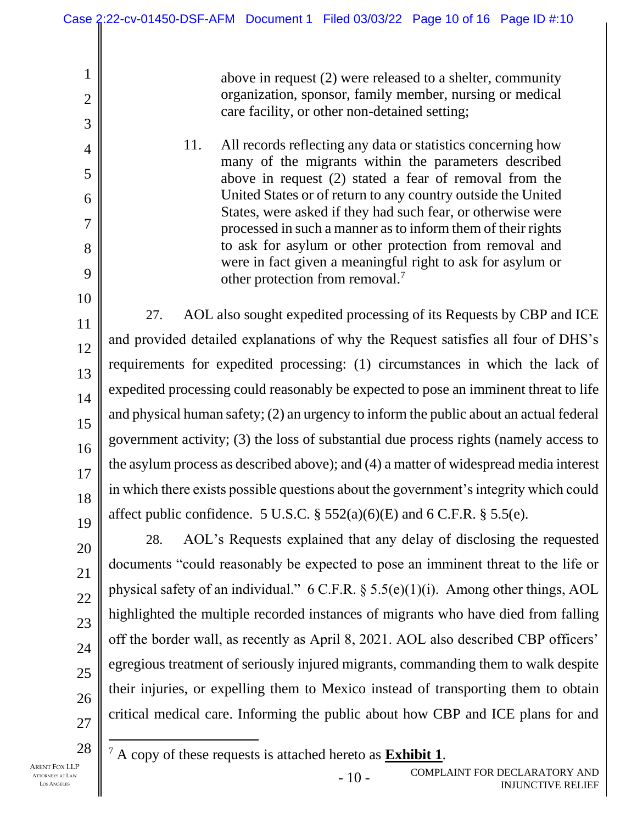above in request (2) were released to a shelter, community organization, sponsor, family member, nursing or medical care facility, or other non-detained setting;

11. All records reflecting any data or statistics concerning how many of the migrants within the parameters described above in request (2) stated a fear of removal from the United States or of return to any country outside the United States, were asked if they had such fear, or otherwise were processed in such a manner as to inform them of their rights to ask for asylum or other protection from removal and were in fact given a meaningful right to ask for asylum or other protection from removal.<sup>7</sup>

27. AOL also sought expedited processing of its Requests by CBP and ICE and provided detailed explanations of why the Request satisfies all four of DHS's requirements for expedited processing: (1) circumstances in which the lack of expedited processing could reasonably be expected to pose an imminent threat to life and physical human safety; (2) an urgency to inform the public about an actual federal government activity; (3) the loss of substantial due process rights (namely access to the asylum process as described above); and (4) a matter of widespread media interest in which there exists possible questions about the government's integrity which could affect public confidence. 5 U.S.C.  $\S 552(a)(6)(E)$  and 6 C.F.R.  $\S 5.5(e)$ .

28. AOL's Requests explained that any delay of disclosing the requested documents "could reasonably be expected to pose an imminent threat to the life or physical safety of an individual." 6 C.F.R. § 5.5(e)(1)(i). Among other things, AOL highlighted the multiple recorded instances of migrants who have died from falling off the border wall, as recently as April 8, 2021. AOL also described CBP officers' egregious treatment of seriously injured migrants, commanding them to walk despite their injuries, or expelling them to Mexico instead of transporting them to obtain critical medical care. Informing the public about how CBP and ICE plans for and

27 28

1

2

3

4

5

6

7

8

9

10

11

12

13

14

15

16

17

18

19

20

21

22

23

24

25

26

<sup>7</sup> A copy of these requests is attached hereto as **Exhibit 1**.

- 10 - COMPLAINT FOR DECLARATORY AND INJUNCTIVE RELIEF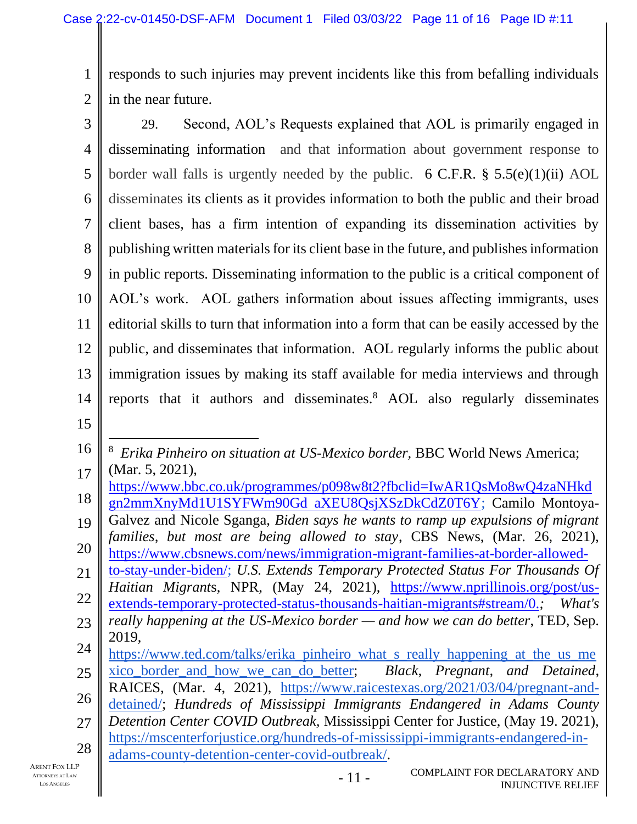1 2 responds to such injuries may prevent incidents like this from befalling individuals in the near future.

3 4 5 6 7 8 9 10 11 12 13 14 29. Second, AOL's Requests explained that AOL is primarily engaged in disseminating information and that information about government response to border wall falls is urgently needed by the public. 6 C.F.R.  $\S$  5.5(e)(1)(ii) AOL disseminates its clients as it provides information to both the public and their broad client bases, has a firm intention of expanding its dissemination activities by publishing written materials for its client base in the future, and publishes information in public reports. Disseminating information to the public is a critical component of AOL's work. AOL gathers information about issues affecting immigrants, uses editorial skills to turn that information into a form that can be easily accessed by the public, and disseminates that information. AOL regularly informs the public about immigration issues by making its staff available for media interviews and through reports that it authors and disseminates.<sup>8</sup> AOL also regularly disseminates

15

- 18 [https://www.bbc.co.uk/programmes/p098w8t2?fbclid=IwAR1QsMo8wQ4zaNHkd](https://www.bbc.co.uk/programmes/p098w8t2?fbclid=IwAR1QsMo8wQ4zaNHkdgn2mmXnyMd1U1SYFWm90GdaXEU8QsjXSzDkCdZ0T6Y) [gn2mmXnyMd1U1SYFWm90Gd aXEU8QsjXSzDkCdZ0T6Y;](https://www.bbc.co.uk/programmes/p098w8t2?fbclid=IwAR1QsMo8wQ4zaNHkdgn2mmXnyMd1U1SYFWm90GdaXEU8QsjXSzDkCdZ0T6Y) Camilo Montoya-
- 19 20 Galvez and Nicole Sganga, *Biden says he wants to ramp up expulsions of migrant families, but most are being allowed to stay*, CBS News, (Mar. 26, 2021), [https://www.cbsnews.com/news/immigration-migrant-families-at-border-allowed-](https://www.cbsnews.com/news/immigration-migrant-families-at-border-allowed-to-stay-under-biden/)
- 21 22 [to-stay-under-biden/;](https://www.cbsnews.com/news/immigration-migrant-families-at-border-allowed-to-stay-under-biden/) *U.S. Extends Temporary Protected Status For Thousands Of Haitian Migrant*s, NPR, (May 24, 2021), [https://www.nprillinois.org/post/us](https://www.nprillinois.org/post/us-extends-temporary-protected-status-thousands-haitian-migrants#stream/0.)[extends-temporary-protected-status-thousands-haitian-migrants#stream/0.](https://www.nprillinois.org/post/us-extends-temporary-protected-status-thousands-haitian-migrants#stream/0.)*; What's*
- 23 *really happening at the US-Mexico border — and how we can do better*, TED, Sep. 2019,
- 24 https://www.ted.com/talks/erika pinheiro\_what\_s\_really\_happening\_at\_the\_us\_me
- 25 [xico\\_border\\_and\\_how\\_we\\_can\\_do\\_better;](https://www.ted.com/talks/erika_pinheiro_what_s_really_happening_at_the_us_mexico_border_and_how_we_can_do_better) *Black, Pregnant, and Detained*,
- 26 RAICES, (Mar. 4, 2021), [https://www.raicestexas.org/2021/03/04/pregnant-and-](https://www.raicestexas.org/2021/03/04/pregnant-and-detained/)
- 27 [detained/;](https://www.raicestexas.org/2021/03/04/pregnant-and-detained/) *Hundreds of Mississippi Immigrants Endangered in Adams County Detention Center COVID Outbreak,* Mississippi Center for Justice, (May 19. 2021),
- 28 [https://mscenterforjustice.org/hundreds-of-mississippi-immigrants-endangered-in](https://mscenterforjustice.org/hundreds-of-mississippi-immigrants-endangered-in-adams-county-detention-center-covid-outbreak/)[adams-county-detention-center-covid-outbreak/.](https://mscenterforjustice.org/hundreds-of-mississippi-immigrants-endangered-in-adams-county-detention-center-covid-outbreak/)

<sup>16</sup> 17 8 *Erika Pinheiro on situation at US-Mexico border,* BBC World News America; (Mar. 5, 2021),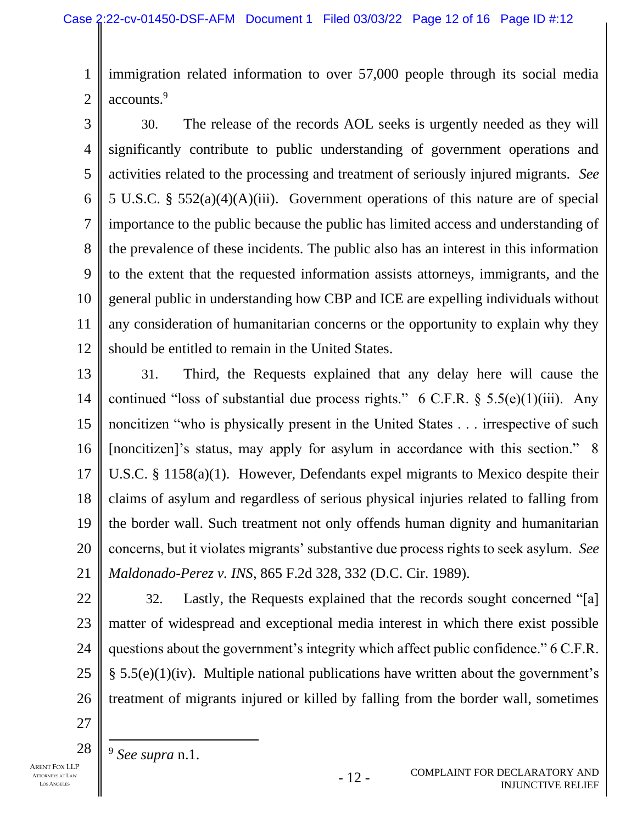1 2 immigration related information to over 57,000 people through its social media accounts.<sup>9</sup>

3 4 5 6 7 8 9 10 11 12 30. The release of the records AOL seeks is urgently needed as they will significantly contribute to public understanding of government operations and activities related to the processing and treatment of seriously injured migrants. *See*  5 U.S.C. § 552(a)(4)(A)(iii). Government operations of this nature are of special importance to the public because the public has limited access and understanding of the prevalence of these incidents. The public also has an interest in this information to the extent that the requested information assists attorneys, immigrants, and the general public in understanding how CBP and ICE are expelling individuals without any consideration of humanitarian concerns or the opportunity to explain why they should be entitled to remain in the United States.

13 14 15 16 17 18 19 20 21 31. Third, the Requests explained that any delay here will cause the continued "loss of substantial due process rights."  $6 \text{ C.F.R.}$  §  $5.5(e)(1)(iii)$ . Any noncitizen "who is physically present in the United States . . . irrespective of such [noncitizen]'s status, may apply for asylum in accordance with this section." 8 U.S.C. § 1158(a)(1). However, Defendants expel migrants to Mexico despite their claims of asylum and regardless of serious physical injuries related to falling from the border wall. Such treatment not only offends human dignity and humanitarian concerns, but it violates migrants' substantive due process rights to seek asylum. *See Maldonado-Perez v. INS*, 865 F.2d 328, 332 (D.C. Cir. 1989).

- 22 23 24 25 26 32. Lastly, the Requests explained that the records sought concerned "[a] matter of widespread and exceptional media interest in which there exist possible questions about the government's integrity which affect public confidence." 6 C.F.R.  $\S$  5.5(e)(1)(iv). Multiple national publications have written about the government's treatment of migrants injured or killed by falling from the border wall, sometimes
- 27 28
- ARENT FOX LLP ATTORNEYS AT LAW LOS ANGELES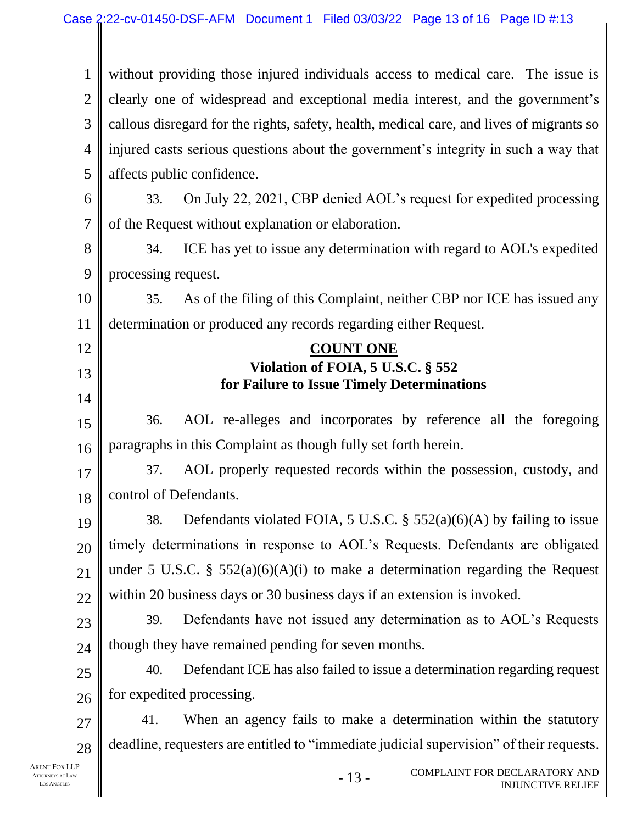1 2 3 4 5 6 7 8 9 10 11 12 13 14 15 16 17 18 19 20 21 22 23 24 25 26 27 28 without providing those injured individuals access to medical care. The issue is clearly one of widespread and exceptional media interest, and the government's callous disregard for the rights, safety, health, medical care, and lives of migrants so injured casts serious questions about the government's integrity in such a way that affects public confidence. 33. On July 22, 2021, CBP denied AOL's request for expedited processing of the Request without explanation or elaboration. 34. ICE has yet to issue any determination with regard to AOL's expedited processing request. 35. As of the filing of this Complaint, neither CBP nor ICE has issued any determination or produced any records regarding either Request. **COUNT ONE Violation of FOIA, 5 U.S.C. § 552 for Failure to Issue Timely Determinations**  36. AOL re-alleges and incorporates by reference all the foregoing paragraphs in this Complaint as though fully set forth herein. 37. AOL properly requested records within the possession, custody, and control of Defendants. 38. Defendants violated FOIA, 5 U.S.C. §  $552(a)(6)(A)$  by failing to issue timely determinations in response to AOL's Requests. Defendants are obligated under 5 U.S.C. §  $552(a)(6)(A)(i)$  to make a determination regarding the Request within 20 business days or 30 business days if an extension is invoked. 39. Defendants have not issued any determination as to AOL's Requests though they have remained pending for seven months. 40. Defendant ICE has also failed to issue a determination regarding request for expedited processing. 41. When an agency fails to make a determination within the statutory deadline, requesters are entitled to "immediate judicial supervision" of their requests.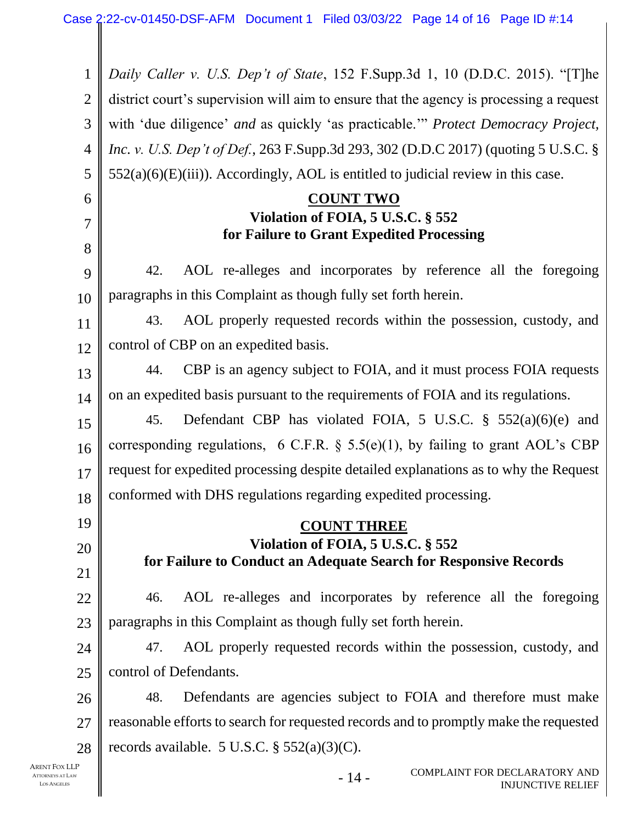- 14 - 1 2 3 4 5 6 7 8 9 10 11 12 13 14 15 16 17 18 19 20 21 22 23 24 25 26 27 28 *Daily Caller v. U.S. Dep't of State*, 152 F.Supp.3d 1, 10 (D.D.C. 2015). "[T]he district court's supervision will aim to ensure that the agency is processing a request with 'due diligence' *and* as quickly 'as practicable.'" *Protect Democracy Project, Inc. v. U.S. Dep't of Def.*, 263 F.Supp.3d 293, 302 (D.D.C 2017) (quoting 5 U.S.C. §  $552(a)(6)(E)(iii)$ ). Accordingly, AOL is entitled to judicial review in this case. **COUNT TWO Violation of FOIA, 5 U.S.C. § 552 for Failure to Grant Expedited Processing** 42. AOL re-alleges and incorporates by reference all the foregoing paragraphs in this Complaint as though fully set forth herein. 43. AOL properly requested records within the possession, custody, and control of CBP on an expedited basis. 44. CBP is an agency subject to FOIA, and it must process FOIA requests on an expedited basis pursuant to the requirements of FOIA and its regulations. 45. Defendant CBP has violated FOIA, 5 U.S.C. § 552(a)(6)(e) and corresponding regulations, 6 C.F.R.  $\S$  5.5(e)(1), by failing to grant AOL's CBP request for expedited processing despite detailed explanations as to why the Request conformed with DHS regulations regarding expedited processing. **COUNT THREE Violation of FOIA, 5 U.S.C. § 552 for Failure to Conduct an Adequate Search for Responsive Records** 46. AOL re-alleges and incorporates by reference all the foregoing paragraphs in this Complaint as though fully set forth herein. 47. AOL properly requested records within the possession, custody, and control of Defendants. 48. Defendants are agencies subject to FOIA and therefore must make reasonable efforts to search for requested records and to promptly make the requested records available. 5 U.S.C.  $\S$  552(a)(3)(C).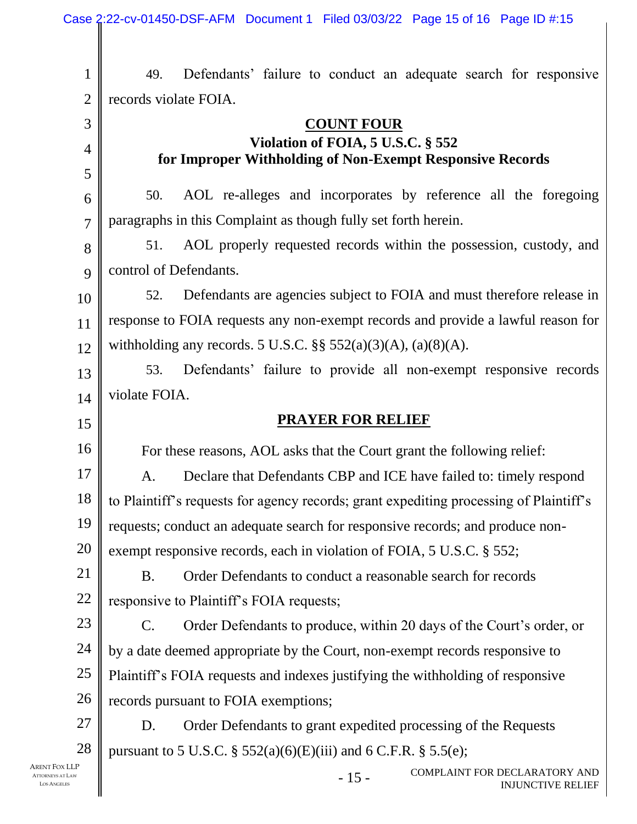|                | Case 2:22-cv-01450-DSF-AFM Document 1 Filed 03/03/22 Page 15 of 16 Page ID #:15                |  |  |
|----------------|------------------------------------------------------------------------------------------------|--|--|
|                |                                                                                                |  |  |
| 1              | Defendants' failure to conduct an adequate search for responsive<br>49.                        |  |  |
| $\mathbf{2}$   | records violate FOIA.                                                                          |  |  |
| 3              | <b>COUNT FOUR</b>                                                                              |  |  |
| 4              | Violation of FOIA, 5 U.S.C. § 552<br>for Improper Withholding of Non-Exempt Responsive Records |  |  |
| 5              |                                                                                                |  |  |
| 6              | AOL re-alleges and incorporates by reference all the foregoing<br>50.                          |  |  |
| $\overline{7}$ | paragraphs in this Complaint as though fully set forth herein.                                 |  |  |
| 8              | AOL properly requested records within the possession, custody, and<br>51.                      |  |  |
| 9              | control of Defendants.                                                                         |  |  |
| 10             | Defendants are agencies subject to FOIA and must therefore release in<br>52.                   |  |  |
| 11             | response to FOIA requests any non-exempt records and provide a lawful reason for               |  |  |
| 12             | withholding any records. 5 U.S.C. §§ $552(a)(3)(A)$ , (a)(8)(A).                               |  |  |
| 13             | Defendants' failure to provide all non-exempt responsive records<br>53.                        |  |  |
| 14             | violate FOIA.                                                                                  |  |  |
|                |                                                                                                |  |  |
| 15             | <b>PRAYER FOR RELIEF</b>                                                                       |  |  |
| 16             | For these reasons, AOL asks that the Court grant the following relief:                         |  |  |
| 17             | A. Declare that Defendants CBP and ICE have failed to: timely respond                          |  |  |
| 18             | to Plaintiff's requests for agency records; grant expediting processing of Plaintiff's         |  |  |
| 19             | requests; conduct an adequate search for responsive records; and produce non-                  |  |  |
| 20             | exempt responsive records, each in violation of FOIA, 5 U.S.C. § 552;                          |  |  |
| 21             | Order Defendants to conduct a reasonable search for records<br><b>B.</b>                       |  |  |
| 22             | responsive to Plaintiff's FOIA requests;                                                       |  |  |
| 23             | Order Defendants to produce, within 20 days of the Court's order, or<br>$\mathbf{C}$ .         |  |  |
| 24             | by a date deemed appropriate by the Court, non-exempt records responsive to                    |  |  |
| 25             | Plaintiff's FOIA requests and indexes justifying the withholding of responsive                 |  |  |
| 26             | records pursuant to FOIA exemptions;                                                           |  |  |
| $27\,$         | Order Defendants to grant expedited processing of the Requests<br>D.                           |  |  |
| 28<br>'ox LLP  | pursuant to 5 U.S.C. § 552(a)(6)(E)(iii) and 6 C.F.R. § 5.5(e);                                |  |  |

ARENT F ATTORNEYS LOS ANGELES